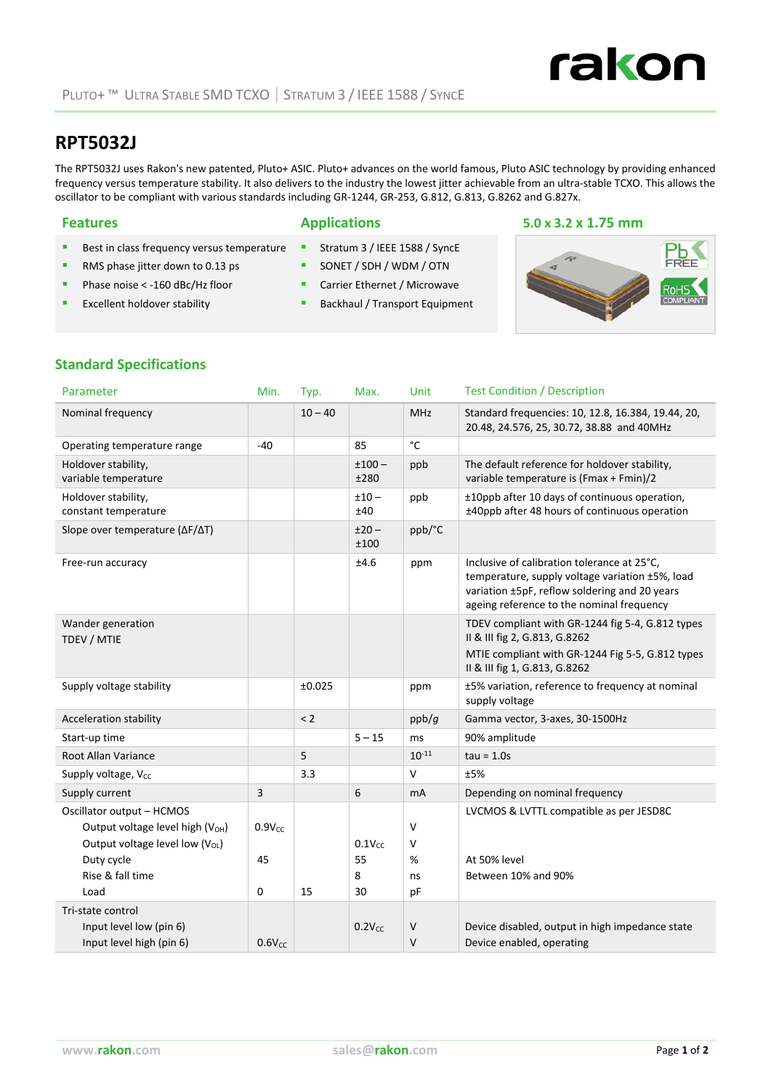# **RPT5032J**

The RPT5032J uses Rakon's new patented, Pluto+ ASIC. Pluto+ advances on the world famous, Pluto ASIC technology by providing enhanced frequency versus temperature stability. It also delivers to the industry the lowest jitter achievable from an ultra‐stable TCXO. This allows the oscillator to be compliant with various standards including GR‐1244, GR‐253, G.812, G.813, G.8262 and G.827x.

- Best in class frequency versus temperature
- RMS phase jitter down to 0.13 ps
- Phase noise < -160 dBc/Hz floor
- Excellent holdover stability
- Stratum 3 / IEEE 1588 / Synce
- SONET / SDH / WDM / OTN
- **Carrier Ethernet / Microwave**
- **Backhaul / Transport Equipment**

### **Features Applications 5.0 x 3.2 x 1.75 mm**



rakon

### **Standard Specifications**

| Parameter                                                                                                                | Min.               | Typ.      | Max.            | Unit           | <b>Test Condition / Description</b>                                                                                                                                                          |
|--------------------------------------------------------------------------------------------------------------------------|--------------------|-----------|-----------------|----------------|----------------------------------------------------------------------------------------------------------------------------------------------------------------------------------------------|
| Nominal frequency                                                                                                        |                    | $10 - 40$ |                 | <b>MHz</b>     | Standard frequencies: 10, 12.8, 16.384, 19.44, 20,<br>20.48, 24.576, 25, 30.72, 38.88 and 40MHz                                                                                              |
| Operating temperature range                                                                                              | $-40$              |           | 85              | $^{\circ}$ C   |                                                                                                                                                                                              |
| Holdover stability,<br>variable temperature                                                                              |                    |           | $±100-$<br>±280 | ppb            | The default reference for holdover stability,<br>variable temperature is (Fmax + Fmin)/2                                                                                                     |
| Holdover stability,<br>constant temperature                                                                              |                    |           | $±10-$<br>±40   | ppb            | ±10ppb after 10 days of continuous operation,<br>±40ppb after 48 hours of continuous operation                                                                                               |
| Slope over temperature (ΔF/ΔT)                                                                                           |                    |           | $±20-$<br>±100  | ppb/°C         |                                                                                                                                                                                              |
| Free-run accuracy                                                                                                        |                    |           | ±4.6            | ppm            | Inclusive of calibration tolerance at 25°C,<br>temperature, supply voltage variation ±5%, load<br>variation ±5pF, reflow soldering and 20 years<br>ageing reference to the nominal frequency |
| Wander generation<br>TDEV / MTIE                                                                                         |                    |           |                 |                | TDEV compliant with GR-1244 fig 5-4, G.812 types<br>II & III fig 2, G.813, G.8262<br>MTIE compliant with GR-1244 Fig 5-5, G.812 types<br>II & III fig 1, G.813, G.8262                       |
| Supply voltage stability                                                                                                 |                    | ±0.025    |                 | ppm            | ±5% variation, reference to frequency at nominal<br>supply voltage                                                                                                                           |
| <b>Acceleration stability</b>                                                                                            |                    | < 2       |                 | ppb/g          | Gamma vector, 3-axes, 30-1500Hz                                                                                                                                                              |
| Start-up time                                                                                                            |                    |           | $5 - 15$        | ms             | 90% amplitude                                                                                                                                                                                |
| Root Allan Variance                                                                                                      |                    | 5         |                 | $10^{-11}$     | $tau = 1.0s$                                                                                                                                                                                 |
| Supply voltage, V <sub>cc</sub>                                                                                          |                    | 3.3       |                 | V              | ±5%                                                                                                                                                                                          |
| Supply current                                                                                                           | 3                  |           | 6               | m <sub>A</sub> | Depending on nominal frequency                                                                                                                                                               |
| Oscillator output - HCMOS<br>Output voltage level high (V <sub>OH</sub> )<br>Output voltage level low (V <sub>OL</sub> ) | $0.9V_{cr}$        |           | $0.1V_{CC}$     | v<br>٧         | LVCMOS & LVTTL compatible as per JESD8C                                                                                                                                                      |
| Duty cycle                                                                                                               | 45                 |           | 55              | %              | At 50% level                                                                                                                                                                                 |
| Rise & fall time                                                                                                         |                    |           | 8               | ns             | Between 10% and 90%                                                                                                                                                                          |
| Load                                                                                                                     | 0                  | 15        | 30              | pF             |                                                                                                                                                                                              |
| Tri-state control                                                                                                        |                    |           |                 |                |                                                                                                                                                                                              |
| Input level low (pin 6)                                                                                                  |                    |           | $0.2V_{CC}$     | V              | Device disabled, output in high impedance state                                                                                                                                              |
| Input level high (pin 6)                                                                                                 | 0.6V <sub>CC</sub> |           |                 | V              | Device enabled, operating                                                                                                                                                                    |